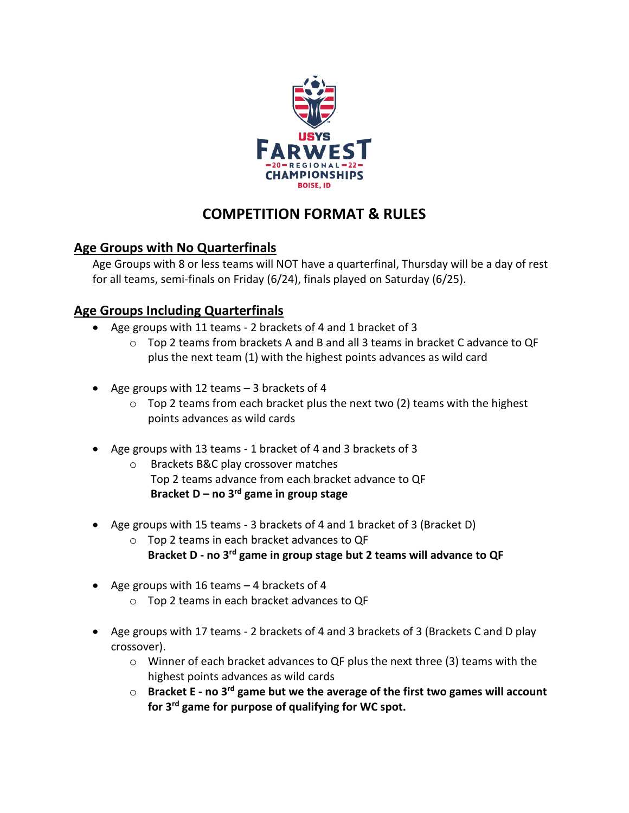

# **COMPETITION FORMAT & RULES**

# **Age Groups with No Quarterfinals**

Age Groups with 8 or less teams will NOT have a quarterfinal, Thursday will be a day of rest for all teams, semi-finals on Friday (6/24), finals played on Saturday (6/25).

# **Age Groups Including Quarterfinals**

- Age groups with 11 teams 2 brackets of 4 and 1 bracket of 3
	- $\circ$  Top 2 teams from brackets A and B and all 3 teams in bracket C advance to QF plus the next team (1) with the highest points advances as wild card
- Age groups with 12 teams 3 brackets of 4
	- $\circ$  Top 2 teams from each bracket plus the next two (2) teams with the highest points advances as wild cards
- Age groups with 13 teams 1 bracket of 4 and 3 brackets of 3
	- o Brackets B&C play crossover matches Top 2 teams advance from each bracket advance to QF **Bracket D – no 3 rd game in group stage**
- Age groups with 15 teams 3 brackets of 4 and 1 bracket of 3 (Bracket D)
	- o Top 2 teams in each bracket advances to QF **Bracket D - no 3 rd game in group stage but 2 teams will advance to QF**
- Age groups with 16 teams 4 brackets of 4
	- o Top 2 teams in each bracket advances to QF
- Age groups with 17 teams 2 brackets of 4 and 3 brackets of 3 (Brackets C and D play crossover).
	- $\circ$  Winner of each bracket advances to QF plus the next three (3) teams with the highest points advances as wild cards
	- o **Bracket E - no 3 rd game but we the average of the first two games will account for 3 rd game for purpose of qualifying for WC spot.**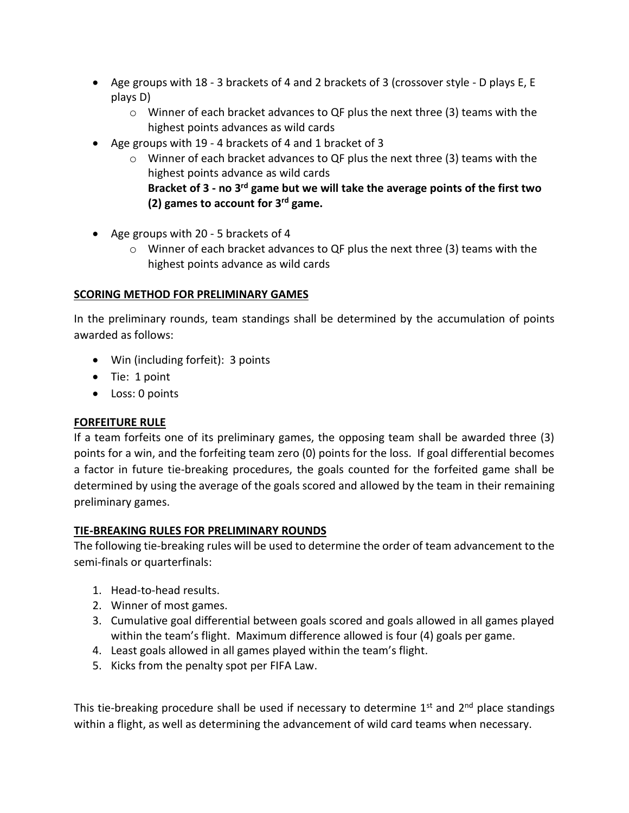- Age groups with 18 3 brackets of 4 and 2 brackets of 3 (crossover style D plays E, E plays D)
	- o Winner of each bracket advances to QF plus the next three (3) teams with the highest points advances as wild cards
- Age groups with 19 4 brackets of 4 and 1 bracket of 3
	- $\circ$  Winner of each bracket advances to QF plus the next three (3) teams with the highest points advance as wild cards **Bracket of 3 - no 3 rd game but we will take the average points of the first two (2) games to account for 3 rd game.**
- Age groups with 20 5 brackets of 4
	- $\circ$  Winner of each bracket advances to QF plus the next three (3) teams with the highest points advance as wild cards

#### **SCORING METHOD FOR PRELIMINARY GAMES**

In the preliminary rounds, team standings shall be determined by the accumulation of points awarded as follows:

- Win (including forfeit): 3 points
- Tie: 1 point
- Loss: 0 points

## **FORFEITURE RULE**

If a team forfeits one of its preliminary games, the opposing team shall be awarded three (3) points for a win, and the forfeiting team zero (0) points for the loss. If goal differential becomes a factor in future tie-breaking procedures, the goals counted for the forfeited game shall be determined by using the average of the goals scored and allowed by the team in their remaining preliminary games.

## **TIE-BREAKING RULES FOR PRELIMINARY ROUNDS**

The following tie-breaking rules will be used to determine the order of team advancement to the semi-finals or quarterfinals:

- 1. Head-to-head results.
- 2. Winner of most games.
- 3. Cumulative goal differential between goals scored and goals allowed in all games played within the team's flight. Maximum difference allowed is four (4) goals per game.
- 4. Least goals allowed in all games played within the team's flight.
- 5. Kicks from the penalty spot per FIFA Law.

This tie-breaking procedure shall be used if necessary to determine  $1<sup>st</sup>$  and  $2<sup>nd</sup>$  place standings within a flight, as well as determining the advancement of wild card teams when necessary.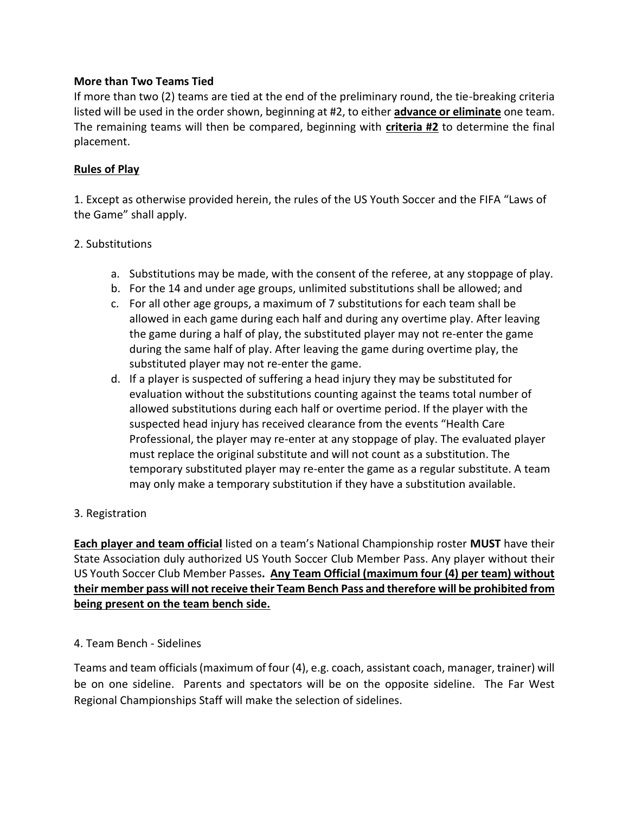#### **More than Two Teams Tied**

If more than two (2) teams are tied at the end of the preliminary round, the tie-breaking criteria listed will be used in the order shown, beginning at #2, to either **advance or eliminate** one team. The remaining teams will then be compared, beginning with **criteria #2** to determine the final placement.

#### **Rules of Play**

1. Except as otherwise provided herein, the rules of the US Youth Soccer and the FIFA "Laws of the Game" shall apply.

#### 2. Substitutions

- a. Substitutions may be made, with the consent of the referee, at any stoppage of play.
- b. For the 14 and under age groups, unlimited substitutions shall be allowed; and
- c. For all other age groups, a maximum of 7 substitutions for each team shall be allowed in each game during each half and during any overtime play. After leaving the game during a half of play, the substituted player may not re-enter the game during the same half of play. After leaving the game during overtime play, the substituted player may not re-enter the game.
- d. If a player is suspected of suffering a head injury they may be substituted for evaluation without the substitutions counting against the teams total number of allowed substitutions during each half or overtime period. If the player with the suspected head injury has received clearance from the events "Health Care Professional, the player may re-enter at any stoppage of play. The evaluated player must replace the original substitute and will not count as a substitution. The temporary substituted player may re-enter the game as a regular substitute. A team may only make a temporary substitution if they have a substitution available.

## 3. Registration

**Each player and team official** listed on a team's National Championship roster **MUST** have their State Association duly authorized US Youth Soccer Club Member Pass. Any player without their US Youth Soccer Club Member Passes**. Any Team Official (maximum four (4) per team) without their member pass will not receive their Team Bench Pass and therefore will be prohibited from being present on the team bench side.** 

#### 4. Team Bench - Sidelines

Teams and team officials (maximum of four (4), e.g. coach, assistant coach, manager, trainer) will be on one sideline. Parents and spectators will be on the opposite sideline. The Far West Regional Championships Staff will make the selection of sidelines.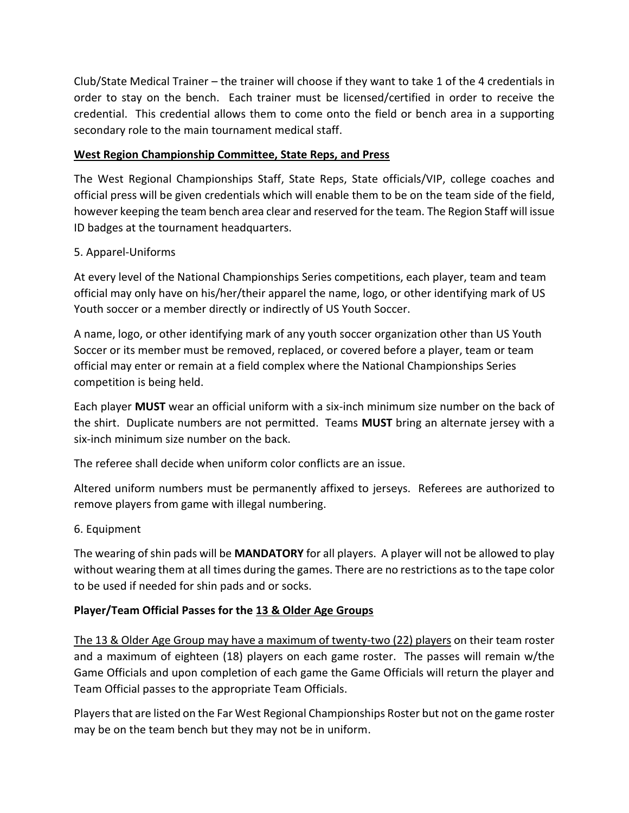Club/State Medical Trainer – the trainer will choose if they want to take 1 of the 4 credentials in order to stay on the bench. Each trainer must be licensed/certified in order to receive the credential. This credential allows them to come onto the field or bench area in a supporting secondary role to the main tournament medical staff.

# **West Region Championship Committee, State Reps, and Press**

The West Regional Championships Staff, State Reps, State officials/VIP, college coaches and official press will be given credentials which will enable them to be on the team side of the field, however keeping the team bench area clear and reserved for the team. The Region Staff will issue ID badges at the tournament headquarters.

## 5. Apparel-Uniforms

At every level of the National Championships Series competitions, each player, team and team official may only have on his/her/their apparel the name, logo, or other identifying mark of US Youth soccer or a member directly or indirectly of US Youth Soccer.

A name, logo, or other identifying mark of any youth soccer organization other than US Youth Soccer or its member must be removed, replaced, or covered before a player, team or team official may enter or remain at a field complex where the National Championships Series competition is being held.

Each player **MUST** wear an official uniform with a six-inch minimum size number on the back of the shirt.Duplicate numbers are not permitted. Teams **MUST** bring an alternate jersey with a six-inch minimum size number on the back.

The referee shall decide when uniform color conflicts are an issue.

Altered uniform numbers must be permanently affixed to jerseys. Referees are authorized to remove players from game with illegal numbering.

## 6. Equipment

The wearing of shin pads will be **MANDATORY** for all players. A player will not be allowed to play without wearing them at all times during the games. There are no restrictions as to the tape color to be used if needed for shin pads and or socks.

## **Player/Team Official Passes for the 13 & Older Age Groups**

The 13 & Older Age Group may have a maximum of twenty-two (22) players on their team roster and a maximum of eighteen (18) players on each game roster. The passes will remain w/the Game Officials and upon completion of each game the Game Officials will return the player and Team Official passes to the appropriate Team Officials.

Players that are listed on the Far West Regional Championships Roster but not on the game roster may be on the team bench but they may not be in uniform.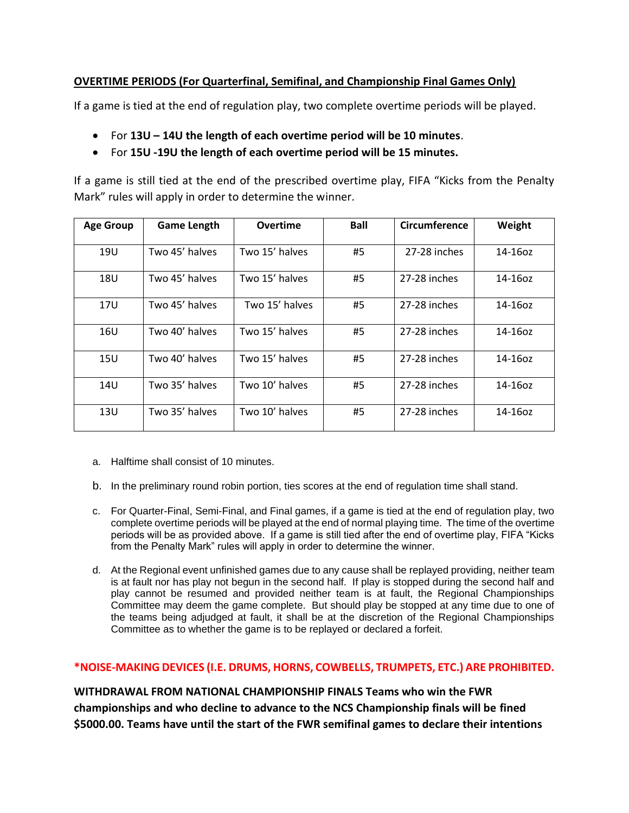# **OVERTIME PERIODS (For Quarterfinal, Semifinal, and Championship Final Games Only)**

If a game is tied at the end of regulation play, two complete overtime periods will be played.

- For **13U – 14U the length of each overtime period will be 10 minutes**.
- For **15U -19U the length of each overtime period will be 15 minutes.**

If a game is still tied at the end of the prescribed overtime play, FIFA "Kicks from the Penalty Mark" rules will apply in order to determine the winner.

| <b>Age Group</b> | <b>Game Length</b> | <b>Overtime</b> | <b>Ball</b> | <b>Circumference</b> | Weight     |
|------------------|--------------------|-----------------|-------------|----------------------|------------|
| 19U              | Two 45' halves     | Two 15' halves  | #5          | 27-28 inches         | 14-16oz    |
| <b>18U</b>       | Two 45' halves     | Two 15' halves  | #5          | 27-28 inches         | 14-16oz    |
| 17U              | Two 45' halves     | Two 15' halves  | #5          | 27-28 inches         | 14-16oz    |
| 16U              | Two 40' halves     | Two 15' halves  | #5          | 27-28 inches         | $14-16$ oz |
| 15U              | Two 40' halves     | Two 15' halves  | #5          | 27-28 inches         | 14-16oz    |
| 14U              | Two 35' halves     | Two 10' halves  | #5          | 27-28 inches         | 14-16oz    |
| 13U              | Two 35' halves     | Two 10' halves  | #5          | 27-28 inches         | $14-16$ oz |

- a. Halftime shall consist of 10 minutes.
- b. In the preliminary round robin portion, ties scores at the end of regulation time shall stand.
- c. For Quarter-Final, Semi-Final, and Final games, if a game is tied at the end of regulation play, two complete overtime periods will be played at the end of normal playing time. The time of the overtime periods will be as provided above. If a game is still tied after the end of overtime play, FIFA "Kicks from the Penalty Mark" rules will apply in order to determine the winner.
- d. At the Regional event unfinished games due to any cause shall be replayed providing, neither team is at fault nor has play not begun in the second half. If play is stopped during the second half and play cannot be resumed and provided neither team is at fault, the Regional Championships Committee may deem the game complete. But should play be stopped at any time due to one of the teams being adjudged at fault, it shall be at the discretion of the Regional Championships Committee as to whether the game is to be replayed or declared a forfeit.

#### **\*NOISE-MAKING DEVICES (I.E. DRUMS, HORNS, COWBELLS, TRUMPETS, ETC.) ARE PROHIBITED.**

**WITHDRAWAL FROM NATIONAL CHAMPIONSHIP FINALS Teams who win the FWR championships and who decline to advance to the NCS Championship finals will be fined \$5000.00. Teams have until the start of the FWR semifinal games to declare their intentions**